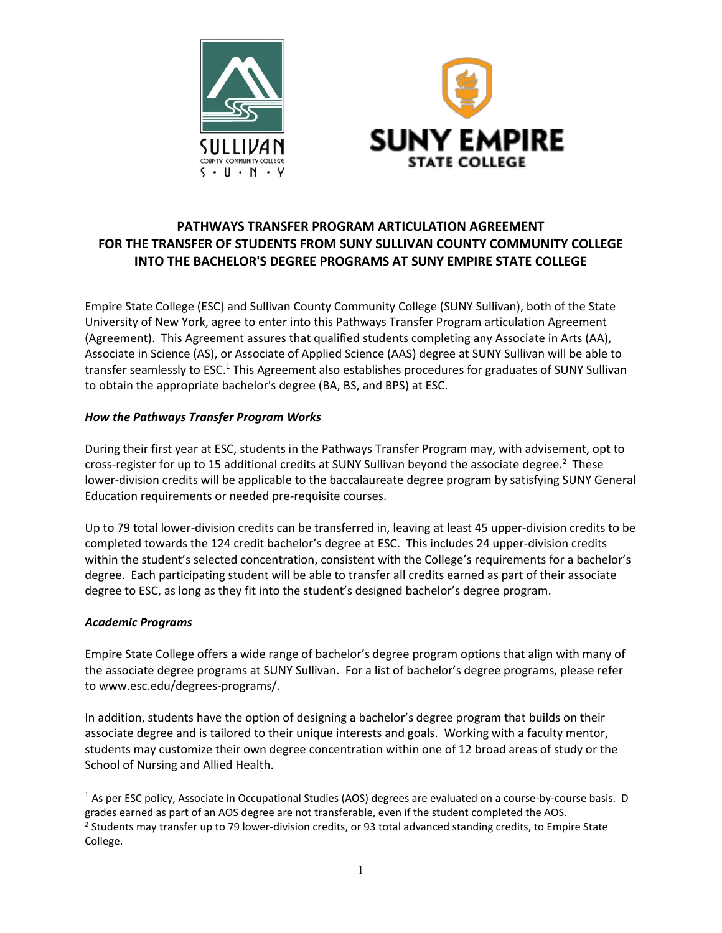



# **PATHWAYS TRANSFER PROGRAM ARTICULATION AGREEMENT FOR THE TRANSFER OF STUDENTS FROM SUNY SULLIVAN COUNTY COMMUNITY COLLEGE INTO THE BACHELOR'S DEGREE PROGRAMS AT SUNY EMPIRE STATE COLLEGE**

Empire State College (ESC) and Sullivan County Community College (SUNY Sullivan), both of the State University of New York, agree to enter into this Pathways Transfer Program articulation Agreement (Agreement). This Agreement assures that qualified students completing any Associate in Arts (AA), Associate in Science (AS), or Associate of Applied Science (AAS) degree at SUNY Sullivan will be able to transfer seamlessly to ESC.<sup>1</sup> This Agreement also establishes procedures for graduates of SUNY Sullivan to obtain the appropriate bachelor's degree (BA, BS, and BPS) at ESC.

## *How the Pathways Transfer Program Works*

During their first year at ESC, students in the Pathways Transfer Program may, with advisement, opt to cross-register for up to 15 additional credits at SUNY Sullivan beyond the associate degree.<sup>2</sup> These lower-division credits will be applicable to the baccalaureate degree program by satisfying SUNY General Education requirements or needed pre-requisite courses.

Up to 79 total lower-division credits can be transferred in, leaving at least 45 upper-division credits to be completed towards the 124 credit bachelor's degree at ESC. This includes 24 upper-division credits within the student's selected concentration, consistent with the College's requirements for a bachelor's degree. Each participating student will be able to transfer all credits earned as part of their associate degree to ESC, as long as they fit into the student's designed bachelor's degree program.

#### *Academic Programs*

Empire State College offers a wide range of bachelor's degree program options that align with many of the associate degree programs at SUNY Sullivan. For a list of bachelor's degree programs, please refer to www.esc.edu/degrees-programs/.

In addition, students have the option of designing a bachelor's degree program that builds on their associate degree and is tailored to their unique interests and goals. Working with a faculty mentor, students may customize their own degree concentration within one of 12 broad areas of study or the School of Nursing and Allied Health.

 $<sup>1</sup>$  As per ESC policy, Associate in Occupational Studies (AOS) degrees are evaluated on a course-by-course basis. D</sup> grades earned as part of an AOS degree are not transferable, even if the student completed the AOS.

<sup>&</sup>lt;sup>2</sup> Students may transfer up to 79 lower-division credits, or 93 total advanced standing credits, to Empire State College.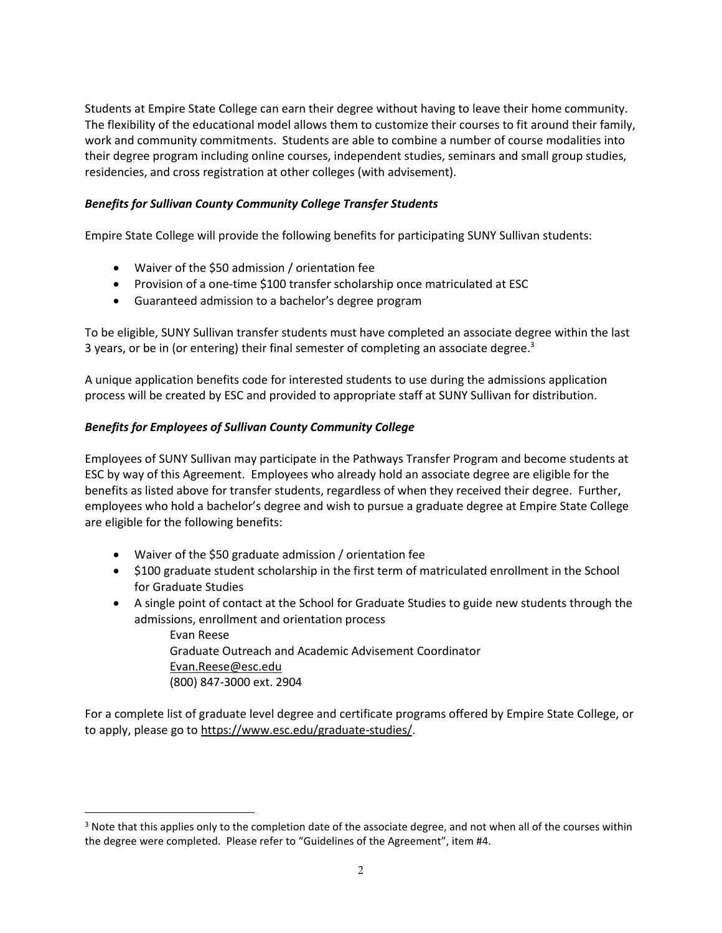Students at Empire State College can earn their degree without having to leave their home community. The flexibility of the educational model allows them to customize their courses to fit around their family, work and community commitments. Students are able to combine a number of course modalities into their degree program including online courses, independent studies, seminars and small group studies, residencies, and cross registration at other colleges (with advisement).

## *Benefits for Sullivan County Community College Transfer Students*

Empire State College will provide the following benefits for participating SUNY Sullivan students:

- Waiver of the \$50 admission / orientation fee
- Provision of a one-time \$100 transfer scholarship once matriculated at ESC
- Guaranteed admission to a bachelor's degree program

To be eligible, SUNY Sullivan transfer students must have completed an associate degree within the last 3 years, or be in (or entering) their final semester of completing an associate degree. $3$ 

A unique application benefits code for interested students to use during the admissions application process will be created by ESC and provided to appropriate staff at SUNY Sullivan for distribution.

## *Benefits for Employees of Sullivan County Community College*

Employees of SUNY Sullivan may participate in the Pathways Transfer Program and become students at ESC by way of this Agreement. Employees who already hold an associate degree are eligible for the benefits as listed above for transfer students, regardless of when they received their degree. Further, employees who hold a bachelor's degree and wish to pursue a graduate degree at Empire State College are eligible for the following benefits:

• Waiver of the \$50 graduate admission / orientation fee

 $\overline{a}$ 

- \$100 graduate student scholarship in the first term of matriculated enrollment in the School for Graduate Studies
- A single point of contact at the School for Graduate Studies to guide new students through the admissions, enrollment and orientation process

Evan Reese Graduate Outreach and Academic Advisement Coordinator Evan.Reese@esc.edu (800) 847-3000 ext. 2904

For a complete list of graduate level degree and certificate programs offered by Empire State College, or to apply, please go to https://www.esc.edu/graduate-studies/.

 $3$  Note that this applies only to the completion date of the associate degree, and not when all of the courses within the degree were completed. Please refer to "Guidelines of the Agreement", item #4.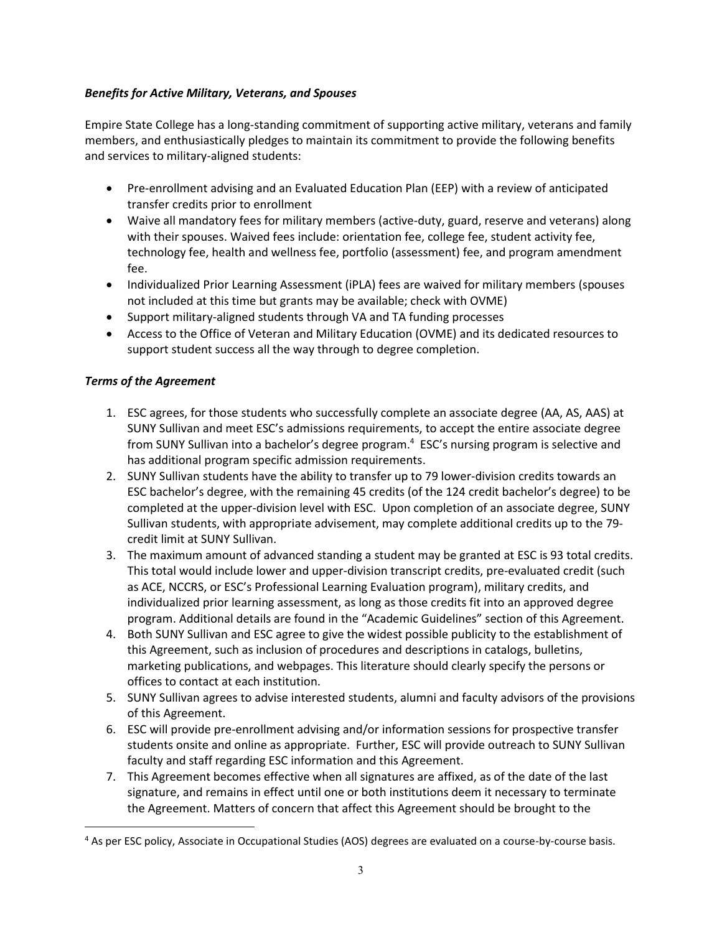## *Benefits for Active Military, Veterans, and Spouses*

Empire State College has a long-standing commitment of supporting active military, veterans and family members, and enthusiastically pledges to maintain its commitment to provide the following benefits and services to military-aligned students:

- Pre-enrollment advising and an Evaluated Education Plan (EEP) with a review of anticipated transfer credits prior to enrollment
- Waive all mandatory fees for military members (active-duty, guard, reserve and veterans) along with their spouses. Waived fees include: orientation fee, college fee, student activity fee, technology fee, health and wellness fee, portfolio (assessment) fee, and program amendment fee.
- Individualized Prior Learning Assessment (iPLA) fees are waived for military members (spouses not included at this time but grants may be available; check with OVME)
- Support military-aligned students through VA and TA funding processes
- Access to the Office of Veteran and Military Education (OVME) and its dedicated resources to support student success all the way through to degree completion.

## *Terms of the Agreement*

 $\overline{a}$ 

- 1. ESC agrees, for those students who successfully complete an associate degree (AA, AS, AAS) at SUNY Sullivan and meet ESC's admissions requirements, to accept the entire associate degree from SUNY Sullivan into a bachelor's degree program. <sup>4</sup> ESC's nursing program is selective and has additional program specific admission requirements.
- 2. SUNY Sullivan students have the ability to transfer up to 79 lower-division credits towards an ESC bachelor's degree, with the remaining 45 credits (of the 124 credit bachelor's degree) to be completed at the upper-division level with ESC. Upon completion of an associate degree, SUNY Sullivan students, with appropriate advisement, may complete additional credits up to the 79 credit limit at SUNY Sullivan.
- 3. The maximum amount of advanced standing a student may be granted at ESC is 93 total credits. This total would include lower and upper-division transcript credits, pre-evaluated credit (such as ACE, NCCRS, or ESC's Professional Learning Evaluation program), military credits, and individualized prior learning assessment, as long as those credits fit into an approved degree program. Additional details are found in the "Academic Guidelines" section of this Agreement.
- 4. Both SUNY Sullivan and ESC agree to give the widest possible publicity to the establishment of this Agreement, such as inclusion of procedures and descriptions in catalogs, bulletins, marketing publications, and webpages. This literature should clearly specify the persons or offices to contact at each institution.
- 5. SUNY Sullivan agrees to advise interested students, alumni and faculty advisors of the provisions of this Agreement.
- 6. ESC will provide pre-enrollment advising and/or information sessions for prospective transfer students onsite and online as appropriate. Further, ESC will provide outreach to SUNY Sullivan faculty and staff regarding ESC information and this Agreement.
- 7. This Agreement becomes effective when all signatures are affixed, as of the date of the last signature, and remains in effect until one or both institutions deem it necessary to terminate the Agreement. Matters of concern that affect this Agreement should be brought to the

<sup>4</sup> As per ESC policy, Associate in Occupational Studies (AOS) degrees are evaluated on a course-by-course basis.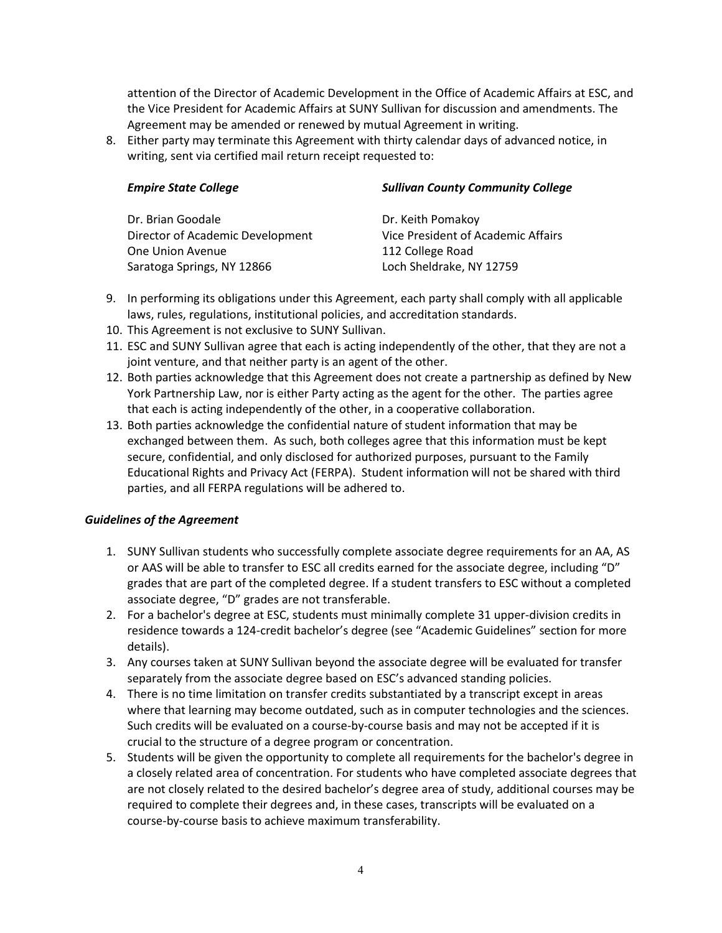attention of the Director of Academic Development in the Office of Academic Affairs at ESC, and the Vice President for Academic Affairs at SUNY Sullivan for discussion and amendments. The Agreement may be amended or renewed by mutual Agreement in writing.

8. Either party may terminate this Agreement with thirty calendar days of advanced notice, in writing, sent via certified mail return receipt requested to:

| <b>Empire State College</b>      | <b>Sullivan County Community College</b> |  |  |
|----------------------------------|------------------------------------------|--|--|
| Dr. Brian Goodale                | Dr. Keith Pomakoy                        |  |  |
| Director of Academic Development | Vice President of Academic Affairs       |  |  |
| One Union Avenue                 | 112 College Road                         |  |  |
| Saratoga Springs, NY 12866       | Loch Sheldrake, NY 12759                 |  |  |

- 9. In performing its obligations under this Agreement, each party shall comply with all applicable laws, rules, regulations, institutional policies, and accreditation standards.
- 10. This Agreement is not exclusive to SUNY Sullivan.
- 11. ESC and SUNY Sullivan agree that each is acting independently of the other, that they are not a joint venture, and that neither party is an agent of the other.
- 12. Both parties acknowledge that this Agreement does not create a partnership as defined by New York Partnership Law, nor is either Party acting as the agent for the other. The parties agree that each is acting independently of the other, in a cooperative collaboration.
- 13. Both parties acknowledge the confidential nature of student information that may be exchanged between them. As such, both colleges agree that this information must be kept secure, confidential, and only disclosed for authorized purposes, pursuant to the Family Educational Rights and Privacy Act (FERPA). Student information will not be shared with third parties, and all FERPA regulations will be adhered to.

## *Guidelines of the Agreement*

- 1. SUNY Sullivan students who successfully complete associate degree requirements for an AA, AS or AAS will be able to transfer to ESC all credits earned for the associate degree, including "D" grades that are part of the completed degree. If a student transfers to ESC without a completed associate degree, "D" grades are not transferable.
- 2. For a bachelor's degree at ESC, students must minimally complete 31 upper-division credits in residence towards a 124-credit bachelor's degree (see "Academic Guidelines" section for more details).
- 3. Any courses taken at SUNY Sullivan beyond the associate degree will be evaluated for transfer separately from the associate degree based on ESC's advanced standing policies.
- 4. There is no time limitation on transfer credits substantiated by a transcript except in areas where that learning may become outdated, such as in computer technologies and the sciences. Such credits will be evaluated on a course-by-course basis and may not be accepted if it is crucial to the structure of a degree program or concentration.
- 5. Students will be given the opportunity to complete all requirements for the bachelor's degree in a closely related area of concentration. For students who have completed associate degrees that are not closely related to the desired bachelor's degree area of study, additional courses may be required to complete their degrees and, in these cases, transcripts will be evaluated on a course-by-course basis to achieve maximum transferability.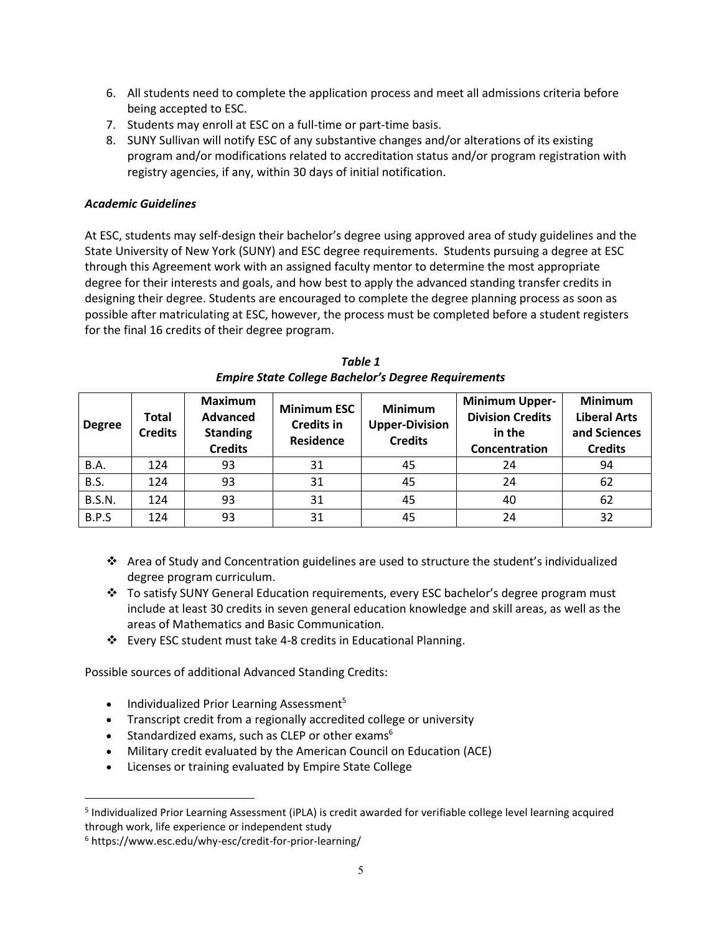- 6. All students need to complete the application process and meet all admissions criteria before being accepted to ESC.
- 7. Students may enroll at ESC on a full-time or part-time basis.
- 8. SUNY Sullivan will notify ESC of any substantive changes and/or alterations of its existing program and/or modifications related to accreditation status and/or program registration with registry agencies, if any, within 30 days of initial notification.

## *Academic Guidelines*

At ESC, students may self-design their bachelor's degree using approved area of study guidelines and the State University of New York (SUNY) and ESC degree requirements. Students pursuing a degree at ESC through this Agreement work with an assigned faculty mentor to determine the most appropriate degree for their interests and goals, and how best to apply the advanced standing transfer credits in designing their degree. Students are encouraged to complete the degree planning process as soon as possible after matriculating at ESC, however, the process must be completed before a student registers for the final 16 credits of their degree program.

| <b>Degree</b> | Total<br><b>Credits</b> | <b>Maximum</b><br><b>Advanced</b><br><b>Standing</b><br><b>Credits</b> | <b>Minimum ESC</b><br><b>Credits in</b><br><b>Residence</b> | <b>Minimum</b><br><b>Upper-Division</b><br><b>Credits</b> | <b>Minimum Upper-</b><br><b>Division Credits</b><br>in the<br>Concentration | <b>Minimum</b><br><b>Liberal Arts</b><br>and Sciences<br><b>Credits</b> |
|---------------|-------------------------|------------------------------------------------------------------------|-------------------------------------------------------------|-----------------------------------------------------------|-----------------------------------------------------------------------------|-------------------------------------------------------------------------|
| B.A.          | 124                     | 93                                                                     | 31                                                          | 45                                                        | 24                                                                          | 94                                                                      |
| B.S.          | 124                     | 93                                                                     | 31                                                          | 45                                                        | 24                                                                          | 62                                                                      |
| <b>B.S.N.</b> | 124                     | 93                                                                     | 31                                                          | 45                                                        | 40                                                                          | 62                                                                      |
| B.P.S         | 124                     | 93                                                                     | 31                                                          | 45                                                        | 24                                                                          | 32                                                                      |

*Table 1 Empire State College Bachelor's Degree Requirements*

- Area of Study and Concentration guidelines are used to structure the student's individualized degree program curriculum.
- To satisfy SUNY General Education requirements, every ESC bachelor's degree program must include at least 30 credits in seven general education knowledge and skill areas, as well as the areas of Mathematics and Basic Communication.
- Every ESC student must take 4-8 credits in Educational Planning.

Possible sources of additional Advanced Standing Credits:

- $\bullet$  Individualized Prior Learning Assessment<sup>5</sup>
- Transcript credit from a regionally accredited college or university
- **•** Standardized exams, such as CLEP or other exams<sup>6</sup>
- Military credit evaluated by the American Council on Education (ACE)
- Licenses or training evaluated by Empire State College

 $\overline{a}$ 

<sup>5</sup> Individualized Prior Learning Assessment (iPLA) is credit awarded for verifiable college level learning acquired through work, life experience or independent study

<sup>6</sup> https://www.esc.edu/why-esc/credit-for-prior-learning/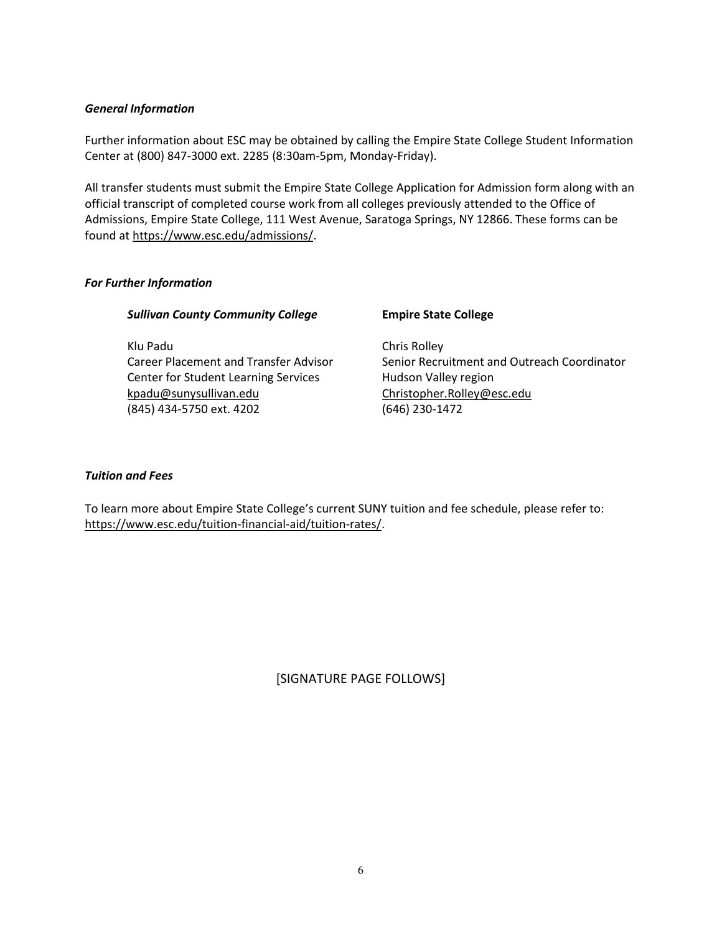#### *General Information*

Further information about ESC may be obtained by calling the Empire State College Student Information Center at (800) 847-3000 ext. 2285 (8:30am-5pm, Monday-Friday).

All transfer students must submit the Empire State College Application for Admission form along with an official transcript of completed course work from all colleges previously attended to the Office of Admissions, Empire State College, 111 West Avenue, Saratoga Springs, NY 12866. These forms can be found at https://www.esc.edu/admissions/.

## *For Further Information*

| <b>Sullivan County Community College</b> | <b>Empire State College</b> |
|------------------------------------------|-----------------------------|
|                                          |                             |

Klu Padu Chris Rolley Center for Student Learning Services Hudson Valley region kpadu@sunysullivan.edu Christopher.Rolley@esc.edu (845) 434-5750 ext. 4202 (646) 230-1472

Career Placement and Transfer Advisor Senior Recruitment and Outreach Coordinator

#### *Tuition and Fees*

To learn more about Empire State College's current SUNY tuition and fee schedule, please refer to: https://www.esc.edu/tuition-financial-aid/tuition-rates/.

[SIGNATURE PAGE FOLLOWS]